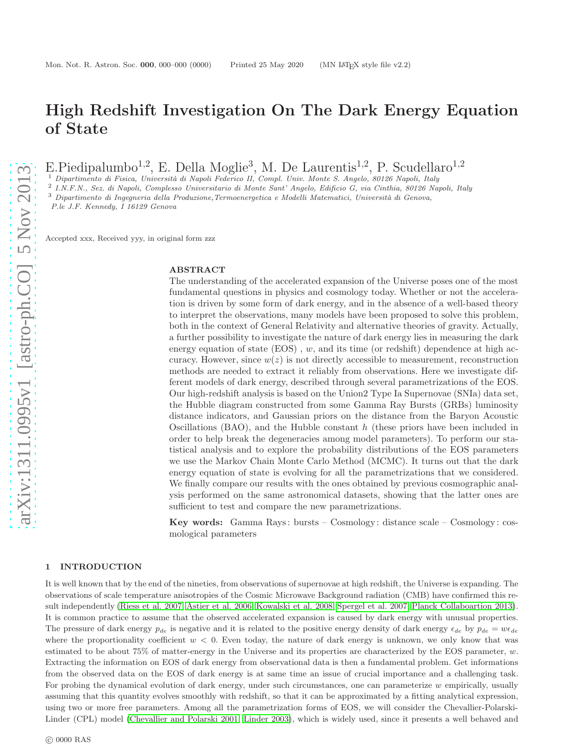# High Redshift Investigation On The Dark Energy Equation of State

E.Piedipalumbo<sup>1,2</sup>, E. Della Moglie<sup>3</sup>, M. De Laurentis<sup>1,2</sup>, P. Scudellaro<sup>1,2</sup>

 $1$  Dipartimento di Fisica, Università di Napoli Federico II, Compl. Univ. Monte S. Angelo, 80126 Napoli, Italy

2 I.N.F.N., Sez. di Napoli, Complesso Universitario di Monte Sant' Angelo, Edificio G, via Cinthia, 80126 Napoli, Italy

 $3$  Dipartimento di Ingegneria della Produzione, Termoenergetica e Modelli Matematici, Università di Genova,

P.le J.F. Kennedy, I 16129 Genova

Accepted xxx, Received yyy, in original form zzz

### ABSTRACT

The understanding of the accelerated expansion of the Universe poses one of the most fundamental questions in physics and cosmology today. Whether or not the acceleration is driven by some form of dark energy, and in the absence of a well-based theory to interpret the observations, many models have been proposed to solve this problem, both in the context of General Relativity and alternative theories of gravity. Actually, a further possibility to investigate the nature of dark energy lies in measuring the dark energy equation of state  $(EOS)$ , w, and its time (or redshift) dependence at high accuracy. However, since  $w(z)$  is not directly accessible to measurement, reconstruction methods are needed to extract it reliably from observations. Here we investigate different models of dark energy, described through several parametrizations of the EOS. Our high-redshift analysis is based on the Union2 Type Ia Supernovae (SNIa) data set, the Hubble diagram constructed from some Gamma Ray Bursts (GRBs) luminosity distance indicators, and Gaussian priors on the distance from the Baryon Acoustic Oscillations (BAO), and the Hubble constant  $h$  (these priors have been included in order to help break the degeneracies among model parameters). To perform our statistical analysis and to explore the probability distributions of the EOS parameters we use the Markov Chain Monte Carlo Method (MCMC). It turns out that the dark energy equation of state is evolving for all the parametrizations that we considered. We finally compare our results with the ones obtained by previous cosmographic analysis performed on the same astronomical datasets, showing that the latter ones are sufficient to test and compare the new parametrizations.

Key words: Gamma Rays : bursts – Cosmology: distance scale – Cosmology : cosmological parameters

### 1 INTRODUCTION

It is well known that by the end of the nineties, from observations of supernovae at high redshift, the Universe is expanding. The observations of scale temperature anisotropies of the Cosmic Microwave Background radiation (CMB) have confirmed this result independently [\(Riess et al. 2007;](#page-10-0) [Astier et al. 2006;](#page-10-1) [Kowalski et al. 2008;](#page-10-2) [Spergel et al. 2007;](#page-11-0) [Planck Collaboartion 2013\)](#page-10-3). It is common practice to assume that the observed accelerated expansion is caused by dark energy with unusual properties. The pressure of dark energy  $p_{de}$  is negative and it is related to the positive energy density of dark energy  $\epsilon_{de}$  by  $p_{de} = w\epsilon_{de}$ where the proportionality coefficient  $w < 0$ . Even today, the nature of dark energy is unknown, we only know that was estimated to be about  $75\%$  of matter-energy in the Universe and its properties are characterized by the EOS parameter,  $w$ . Extracting the information on EOS of dark energy from observational data is then a fundamental problem. Get informations from the observed data on the EOS of dark energy is at same time an issue of crucial importance and a challenging task. For probing the dynamical evolution of dark energy, under such circumstances, one can parameterize w empirically, usually assuming that this quantity evolves smoothly with redshift, so that it can be approximated by a fitting analytical expression, using two or more free parameters. Among all the parametrization forms of EOS, we will consider the Chevallier-Polarski-Linder (CPL) model [\(Chevallier and Polarski 2001;](#page-10-4) [Linder 2003\)](#page-10-5), which is widely used, since it presents a well behaved and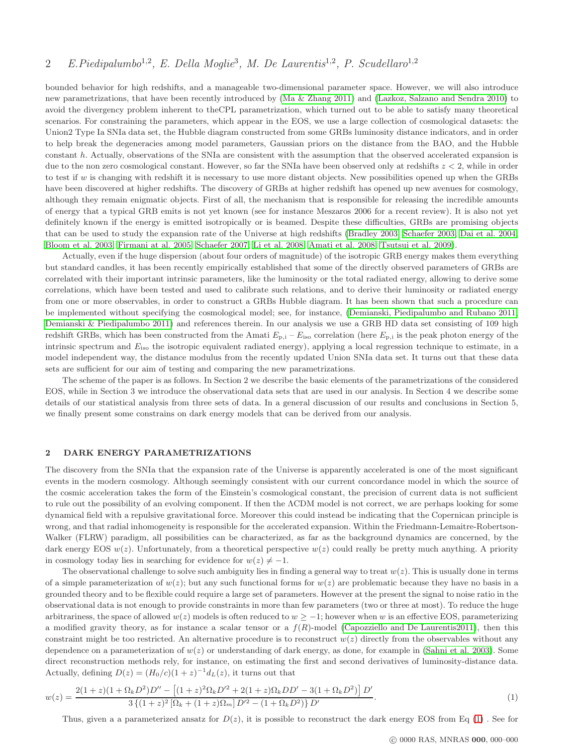# 2 E.Piedipalumbo<sup>1,2</sup>, E. Della Moglie<sup>3</sup>, M. De Laurentis<sup>1,2</sup>, P. Scudellaro<sup>1,2</sup>

bounded behavior for high redshifts, and a manageable two-dimensional parameter space. However, we will also introduce new parametrizations, that have been recently introduced by [\(Ma & Zhang 2011\)](#page-10-6) and [\(Lazkoz, Salzano and Sendra 2010\)](#page-10-7) to avoid the divergency problem inherent to theCPL parametrization, which turned out to be able to satisfy many theoretical scenarios. For constraining the parameters, which appear in the EOS, we use a large collection of cosmological datasets: the Union2 Type Ia SNIa data set, the Hubble diagram constructed from some GRBs luminosity distance indicators, and in order to help break the degeneracies among model parameters, Gaussian priors on the distance from the BAO, and the Hubble constant h. Actually, observations of the SNIa are consistent with the assumption that the observed accelerated expansion is due to the non zero cosmological constant. However, so far the SNIa have been observed only at redshifts  $z < 2$ , while in order to test if w is changing with redshift it is necessary to use more distant objects. New possibilities opened up when the GRBs have been discovered at higher redshifts. The discovery of GRBs at higher redshift has opened up new avenues for cosmology, although they remain enigmatic objects. First of all, the mechanism that is responsible for releasing the incredible amounts of energy that a typical GRB emits is not yet known (see for instance Meszaros 2006 for a recent review). It is also not yet definitely known if the energy is emitted isotropically or is beamed. Despite these difficulties, GRBs are promising objects that can be used to study the expansion rate of the Universe at high redshifts [\(Bradley 2003;](#page-10-8) [Schaefer 2003;](#page-11-1) [Dai et al. 2004;](#page-10-9) [Bloom et al. 2003;](#page-10-10) [Firmani at al. 2005;](#page-10-11) [Schaefer 2007;](#page-11-2) [Li et al. 2008;](#page-10-12) [Amati et al. 2008;](#page-10-13) [Tsutsui et al. 2009\)](#page-11-3).

Actually, even if the huge dispersion (about four orders of magnitude) of the isotropic GRB energy makes them everything but standard candles, it has been recently empirically established that some of the directly observed parameters of GRBs are correlated with their important intrinsic parameters, like the luminosity or the total radiated energy, allowing to derive some correlations, which have been tested and used to calibrate such relations, and to derive their luminosity or radiated energy from one or more observables, in order to construct a GRBs Hubble diagram. It has been shown that such a procedure can be implemented without specifying the cosmological model; see, for instance, [\(Demianski, Piedipalumbo and Rubano 2011;](#page-10-14) [Demianski & Piedipalumbo 2011\)](#page-10-15) and references therein. In our analysis we use a GRB HD data set consisting of 109 high redshift GRBs, which has been constructed from the Amati  $E_{p,i} - E_{iso}$  correlation (here  $E_{p,i}$  is the peak photon energy of the intrinsic spectrum and  $E_{\text{iso}}$  the isotropic equivalent radiated energy), applying a local regression technique to estimate, in a model independent way, the distance modulus from the recently updated Union SNIa data set. It turns out that these data sets are sufficient for our aim of testing and comparing the new parametrizations.

The scheme of the paper is as follows. In Section 2 we describe the basic elements of the parametrizations of the considered EOS, while in Section 3 we introduce the observational data sets that are used in our analysis. In Section 4 we describe some details of our statistical analysis from three sets of data. In a general discussion of our results and conclusions in Section 5, we finally present some constrains on dark energy models that can be derived from our analysis.

#### 2 DARK ENERGY PARAMETRIZATIONS

The discovery from the SNIa that the expansion rate of the Universe is apparently accelerated is one of the most significant events in the modern cosmology. Although seemingly consistent with our current concordance model in which the source of the cosmic acceleration takes the form of the Einstein's cosmological constant, the precision of current data is not sufficient to rule out the possibility of an evolving component. If then the ΛCDM model is not correct, we are perhaps looking for some dynamical field with a repulsive gravitational force. Moreover this could instead be indicating that the Copernican principle is wrong, and that radial inhomogeneity is responsible for the accelerated expansion. Within the Friedmann-Lemaitre-Robertson-Walker (FLRW) paradigm, all possibilities can be characterized, as far as the background dynamics are concerned, by the dark energy EOS  $w(z)$ . Unfortunately, from a theoretical perspective  $w(z)$  could really be pretty much anything. A priority in cosmology today lies in searching for evidence for  $w(z) \neq -1$ .

The observational challenge to solve such ambiguity lies in finding a general way to treat  $w(z)$ . This is usually done in terms of a simple parameterization of  $w(z)$ ; but any such functional forms for  $w(z)$  are problematic because they have no basis in a grounded theory and to be flexible could require a large set of parameters. However at the present the signal to noise ratio in the observational data is not enough to provide constraints in more than few parameters (two or three at most). To reduce the huge arbitrariness, the space of allowed  $w(z)$  models is often reduced to  $w \ge -1$ ; however when w is an effective EOS, parameterizing a modified gravity theory, as for instance a scalar tensor or a  $f(R)$ -model [\(Capozziello and De Laurentis2011\)](#page-10-16), then this constraint might be too restricted. An alternative procedure is to reconstruct  $w(z)$  directly from the observables without any dependence on a parameterization of  $w(z)$  or understanding of dark energy, as done, for example in [\(Sahni et al. 2003\)](#page-11-4). Some direct reconstruction methods rely, for instance, on estimating the first and second derivatives of luminosity-distance data. Actually, defining  $D(z) = (H_0/c)(1+z)^{-1}d_L(z)$ , it turns out that

<span id="page-1-0"></span>
$$
w(z) = \frac{2(1+z)(1+\Omega_k D^2)D'' - [(1+z)^2 \Omega_k D'^2 + 2(1+z)\Omega_k DD' - 3(1+\Omega_k D^2)] D'}{3\{(1+z)^2[\Omega_k + (1+z)\Omega_m]D'^2 - (1+\Omega_k D^2)\}D'}.
$$
\n(1)

Thus, given a a parameterized ansatz for  $D(z)$ , it is possible to reconstruct the dark energy EOS from Eq [\(1\)](#page-1-0). See for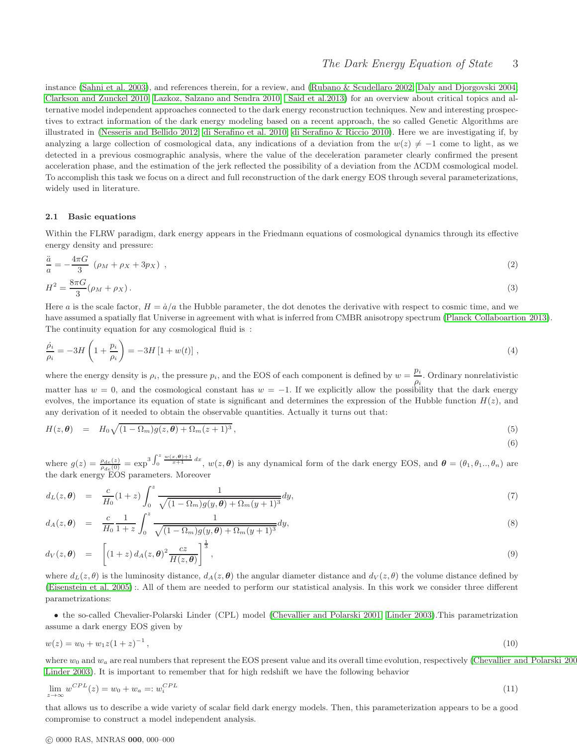# The Dark Energy Equation of State 3

(6)

instance [\(Sahni et al. 2003\)](#page-11-4), and references therein, for a review, and [\(Rubano & Scudellaro 2002;](#page-10-17) [Daly and Djorgovski 2004;](#page-10-18) [Clarkson and Zunckel 2010;](#page-10-19) [Lazkoz, Salzano and Sendra 2010;](#page-10-20) [Said et al.2013\)](#page-11-5) for an overview about critical topics and alternative model independent approaches connected to the dark energy reconstruction techniques. New and interesting prospectives to extract information of the dark energy modeling based on a recent approach, the so called Genetic Algorithms are illustrated in [\(Nesseris and Bellido 2012;](#page-10-21) [di Serafino et al.](#page-10-22) 2010; [di Serafino & Riccio 2010\)](#page-10-23). Here we are investigating if, by analyzing a large collection of cosmological data, any indications of a deviation from the  $w(z) \neq -1$  come to light, as we detected in a previous cosmographic analysis, where the value of the deceleration parameter clearly confirmed the present acceleration phase, and the estimation of the jerk reflected the possibility of a deviation from the ΛCDM cosmological model. To accomplish this task we focus on a direct and full reconstruction of the dark energy EOS through several parameterizations, widely used in literature.

### 2.1 Basic equations

Within the FLRW paradigm, dark energy appears in the Friedmann equations of cosmological dynamics through its effective energy density and pressure:

$$
\frac{\ddot{a}}{a} = -\frac{4\pi G}{3} \left( \rho_M + \rho_X + 3p_X \right) ,\tag{2}
$$
\n
$$
H^2 = \frac{8\pi G}{3} (\rho_M + \rho_X). \tag{3}
$$

Here a is the scale factor,  $H = \dot{a}/a$  the Hubble parameter, the dot denotes the derivative with respect to cosmic time, and we have assumed a spatially flat Universe in agreement with what is inferred from CMBR anisotropy spectrum [\(Planck Collaboartion 2013\)](#page-10-3). The continuity equation for any cosmological fluid is :

$$
\frac{\dot{\rho}_i}{\rho_i} = -3H\left(1 + \frac{p_i}{\rho_i}\right) = -3H\left[1 + w(t)\right],\tag{4}
$$

where the energy density is  $\rho_i$ , the pressure  $p_i$ , and the EOS of each component is defined by  $w = \frac{p_i}{p_i}$  $\frac{P^i}{\rho_i}$ . Ordinary nonrelativistic matter has  $w = 0$ , and the cosmological constant has  $w = -1$ . If we explicitly allow the possibility that the dark energy evolves, the importance its equation of state is significant and determines the expression of the Hubble function  $H(z)$ , and any derivation of it needed to obtain the observable quantities. Actually it turns out that:

$$
H(z,\theta) = H_0 \sqrt{(1-\Omega_m)g(z,\theta) + \Omega_m(z+1)^3}, \qquad (5)
$$

where  $g(z) = \frac{\rho_{de}(z)}{\rho_{de}(0)} = \exp^{3} \int_0^z \frac{w(x,\theta)+1}{x+1} dx$ ,  $w(z,\theta)$  is any dynamical form of the dark energy EOS, and  $\theta = (\theta_1, \theta_1, \ldots, \theta_n)$  are the dark energy EOS parameters. Moreover

<span id="page-2-0"></span>
$$
d_L(z,\theta) = \frac{c}{H_0}(1+z) \int_0^z \frac{1}{\sqrt{(1-\Omega_m)g(y,\theta)+\Omega_m(y+1)^3}} dy,
$$
\n(7)

$$
d_A(z,\theta) = \frac{c}{H_0} \frac{1}{1+z} \int_0^z \frac{1}{\sqrt{(1-\Omega_m)g(y,\theta)+\Omega_m(y+1)^3}} dy,
$$
\n(8)

$$
d_V(z,\boldsymbol{\theta}) = \left[ (1+z) d_A(z,\boldsymbol{\theta})^2 \frac{cz}{H(z,\boldsymbol{\theta})} \right]^{\frac{1}{3}}, \qquad (9)
$$

where  $d_L(z, \theta)$  is the luminosity distance,  $d_A(z, \theta)$  the angular diameter distance and  $d_V(z, \theta)$  the volume distance defined by [\(Eisenstein et al. 2005\)](#page-10-24) :. All of them are needed to perform our statistical analysis. In this work we consider three different parametrizations:

• the so-called Chevalier-Polarski Linder (CPL) model [\(Chevallier and Polarski 2001;](#page-10-4) [Linder 2003\)](#page-10-5).This parametrization assume a dark energy EOS given by

$$
w(z) = w_0 + w_1 z (1 + z)^{-1}, \tag{10}
$$

where  $w_0$  and  $w_a$  are real numbers that represent the EOS present value and its overall time evolution, respectively (Chevallier and Polarski 200 [Linder 2003\)](#page-10-5). It is important to remember that for high redshift we have the following behavior

$$
\lim_{z \to \infty} w^{CPL}(z) = w_0 + w_a =: w_i^{CPL} \tag{11}
$$

that allows us to describe a wide variety of scalar field dark energy models. Then, this parameterization appears to be a good compromise to construct a model independent analysis.

### c 0000 RAS, MNRAS 000, 000–000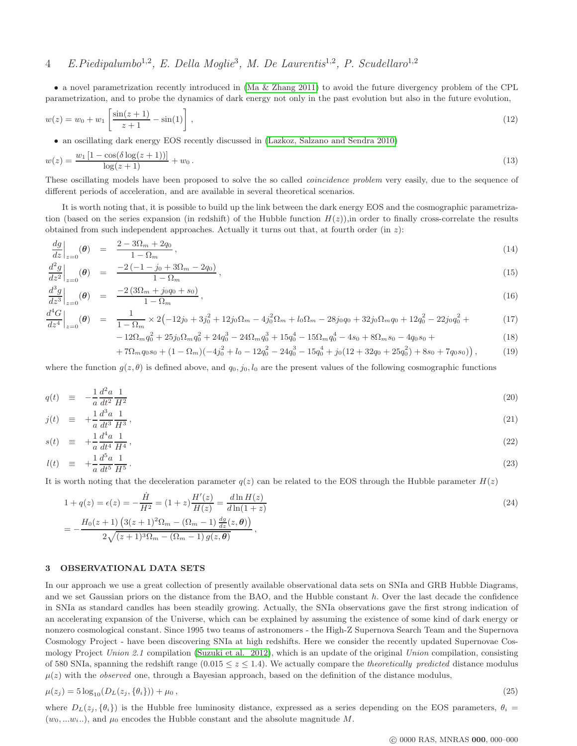# 4 E. Piedipalumbo<sup>1,2</sup>, E. Della Moglie<sup>3</sup>, M. De Laurentis<sup>1,2</sup>, P. Scudellaro<sup>1,2</sup>

• a novel parametrization recently introduced in [\(Ma & Zhang 2011\)](#page-10-6) to avoid the future divergency problem of the CPL parametrization, and to probe the dynamics of dark energy not only in the past evolution but also in the future evolution,

<span id="page-3-1"></span>
$$
w(z) = w_0 + w_1 \left[ \frac{\sin(z+1)}{z+1} - \sin(1) \right],
$$
\n(12)

• an oscillating dark energy EOS recently discussed in [\(Lazkoz, Salzano and Sendra 2010\)](#page-10-7)

$$
w(z) = \frac{w_1 [1 - \cos(\delta \log(z + 1))] }{\log(z + 1)} + w_0.
$$
\n(13)

These oscillating models have been proposed to solve the so called *coincidence problem* very easily, due to the sequence of different periods of acceleration, and are available in several theoretical scenarios.

It is worth noting that, it is possible to build up the link between the dark energy EOS and the cosmographic parametrization (based on the series expansion (in redshift) of the Hubble function  $H(z)$ ), in order to finally cross-correlate the results obtained from such independent approaches. Actually it turns out that, at fourth order (in  $z$ ):

<span id="page-3-0"></span>
$$
\left. \frac{dg}{dz} \right|_{z=0}(\boldsymbol{\theta}) = \frac{2 - 3\Omega_m + 2q_0}{1 - \Omega_m},\tag{14}
$$

$$
\left. \frac{d^2g}{dz^2} \right|_{z=0} (\theta) = \frac{-2(-1 - j_0 + 3\Omega_m - 2q_0)}{1 - \Omega_m}, \tag{15}
$$

$$
\left. \frac{d^3g}{dz^3} \right|_{z=0} (\theta) = \frac{-2(3\Omega_m + j_0 q_0 + s_0)}{1 - \Omega_m}, \tag{16}
$$

$$
\frac{d^4G}{dz^4}\Big|_{z=0}(\theta) = \frac{1}{1-\Omega_m} \times 2\left(-12j_0 + 3j_0^2 + 12j_0\Omega_m - 4j_0^2\Omega_m + l_0\Omega_m - 28j_0q_0 + 32j_0\Omega_mq_0 + 12q_0^2 - 22j_0q_0^2 + \right)
$$
\n(17)

$$
-12\Omega_m q_0^2 + 25j_0\Omega_m q_0^2 + 24q_0^3 - 24\Omega_m q_0^3 + 15q_0^4 - 15\Omega_m q_0^4 - 4s_0 + 8\Omega_m s_0 - 4q_0 s_0 + \tag{18}
$$

$$
+7\Omega_m q_0 s_0 + (1 - \Omega_m)(-4j_0^2 + l_0 - 12q_0^2 - 24q_0^3 - 15q_0^4 + j_0(12 + 32q_0 + 25q_0^2) + 8s_0 + 7q_0 s_0),
$$
\n(19)

where the function  $g(z, \theta)$  is defined above, and  $q_0, j_0, l_0$  are the present values of the following cosmographic functions

$$
q(t) \equiv -\frac{1}{a} \frac{d^2 a}{dt^2} \frac{1}{H^2} \tag{20}
$$

$$
j(t) \equiv +\frac{1}{a} \frac{d^3 a}{dt^3} \frac{1}{H^3},\tag{21}
$$

$$
s(t) \equiv +\frac{1}{a} \frac{d^4 a}{dt^4} \frac{1}{H^4},\tag{22}
$$

$$
l(t) \equiv +\frac{1}{a} \frac{d^5 a}{dt^5} \frac{1}{H^5} \,. \tag{23}
$$

It is worth noting that the deceleration parameter  $q(z)$  can be related to the EOS through the Hubble parameter  $H(z)$ 

<span id="page-3-2"></span>
$$
1 + q(z) = \epsilon(z) = -\frac{\dot{H}}{H^2} = (1+z)\frac{H'(z)}{H(z)} = \frac{d\ln H(z)}{d\ln(1+z)}
$$
  
= 
$$
-\frac{H_0(z+1)\left(3(z+1)^2\Omega_m - (\Omega_m - 1)\frac{dg}{dz}(z,\theta)\right)}{2\sqrt{(z+1)^3\Omega_m - (\Omega_m - 1)g(z,\theta)}},
$$
 (24)

### 3 OBSERVATIONAL DATA SETS

In our approach we use a great collection of presently available observational data sets on SNIa and GRB Hubble Diagrams, and we set Gaussian priors on the distance from the BAO, and the Hubble constant  $h$ . Over the last decade the confidence in SNIa as standard candles has been steadily growing. Actually, the SNIa observations gave the first strong indication of an accelerating expansion of the Universe, which can be explained by assuming the existence of some kind of dark energy or nonzero cosmological constant. Since 1995 two teams of astronomers - the High-Z Supernova Search Team and the Supernova Cosmology Project - have been discovering SNIa at high redshifts. Here we consider the recently updated Supernovae Cos-mology Project Union 2.1 compilation [\(Suzuki et al. 2012\)](#page-11-6), which is an update of the original Union compilation, consisting of 580 SNIa, spanning the redshift range  $(0.015 \le z \le 1.4)$ . We actually compare the *theoretically predicted* distance modulus  $\mu(z)$  with the *observed* one, through a Bayesian approach, based on the definition of the distance modulus,

$$
\mu(z_j) = 5\log_{10}(D_L(z_j, \{\theta_i\})) + \mu_0,
$$
\n(25)

where  $D_L(z_j, \{\theta_i\})$  is the Hubble free luminosity distance, expressed as a series depending on the EOS parameters,  $\theta_i$  $(w_0, ... w_i ...)$ , and  $\mu_0$  encodes the Hubble constant and the absolute magnitude M.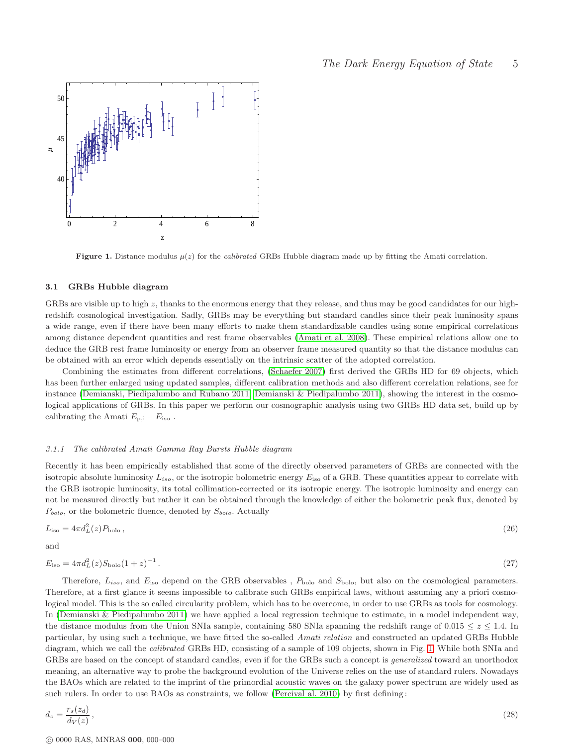

<span id="page-4-0"></span>Figure 1. Distance modulus  $\mu(z)$  for the *calibrated* GRBs Hubble diagram made up by fitting the Amati correlation.

### 3.1 GRBs Hubble diagram

GRBs are visible up to high z, thanks to the enormous energy that they release, and thus may be good candidates for our highredshift cosmological investigation. Sadly, GRBs may be everything but standard candles since their peak luminosity spans a wide range, even if there have been many efforts to make them standardizable candles using some empirical correlations among distance dependent quantities and rest frame observables [\(Amati et al. 2008\)](#page-10-13). These empirical relations allow one to deduce the GRB rest frame luminosity or energy from an observer frame measured quantity so that the distance modulus can be obtained with an error which depends essentially on the intrinsic scatter of the adopted correlation.

Combining the estimates from different correlations, [\(Schaefer 2007\)](#page-11-2) first derived the GRBs HD for 69 objects, which has been further enlarged using updated samples, different calibration methods and also different correlation relations, see for instance [\(Demianski, Piedipalumbo and Rubano 2011;](#page-10-14) [Demianski & Piedipalumbo 2011\)](#page-10-15), showing the interest in the cosmological applications of GRBs. In this paper we perform our cosmographic analysis using two GRBs HD data set, build up by calibrating the Amati  $E_{p,i}$  –  $E_{iso}$ .

### 3.1.1 The calibrated Amati Gamma Ray Bursts Hubble diagram

Recently it has been empirically established that some of the directly observed parameters of GRBs are connected with the isotropic absolute luminosity  $L_{iso}$ , or the isotropic bolometric energy  $E_{iso}$  of a GRB. These quantities appear to correlate with the GRB isotropic luminosity, its total collimation-corrected or its isotropic energy. The isotropic luminosity and energy can not be measured directly but rather it can be obtained through the knowledge of either the bolometric peak flux, denoted by  $P_{bolo}$ , or the bolometric fluence, denoted by  $S_{bolo}$ . Actually

$$
L_{\rm iso} = 4\pi d_L^2(z) P_{\rm bolo} \,,\tag{26}
$$

and

$$
E_{\rm iso} = 4\pi d_L^2(z) S_{\rm bolo} (1+z)^{-1} \,. \tag{27}
$$

Therefore,  $L_{iso}$ , and  $E_{iso}$  depend on the GRB observables,  $P_{\text{bolo}}$  and  $S_{\text{bolo}}$ , but also on the cosmological parameters. Therefore, at a first glance it seems impossible to calibrate such GRBs empirical laws, without assuming any a priori cosmological model. This is the so called circularity problem, which has to be overcome, in order to use GRBs as tools for cosmology. In [\(Demianski & Piedipalumbo 2011\)](#page-10-15) we have applied a local regression technique to estimate, in a model independent way, the distance modulus from the Union SNIa sample, containing 580 SNIa spanning the redshift range of 0.015  $\leq z \leq 1.4$ . In particular, by using such a technique, we have fitted the so-called Amati relation and constructed an updated GRBs Hubble diagram, which we call the calibrated GRBs HD, consisting of a sample of 109 objects, shown in Fig. [1.](#page-4-0) While both SNIa and GRBs are based on the concept of standard candles, even if for the GRBs such a concept is generalized toward an unorthodox meaning, an alternative way to probe the background evolution of the Universe relies on the use of standard rulers. Nowadays the BAOs which are related to the imprint of the primordial acoustic waves on the galaxy power spectrum are widely used as such rulers. In order to use BAOs as constraints, we follow [\(Percival al. 2010\)](#page-10-25) by first defining :

$$
d_z = \frac{r_s(z_d)}{d_V(z)},\tag{28}
$$

c 0000 RAS, MNRAS 000, 000–000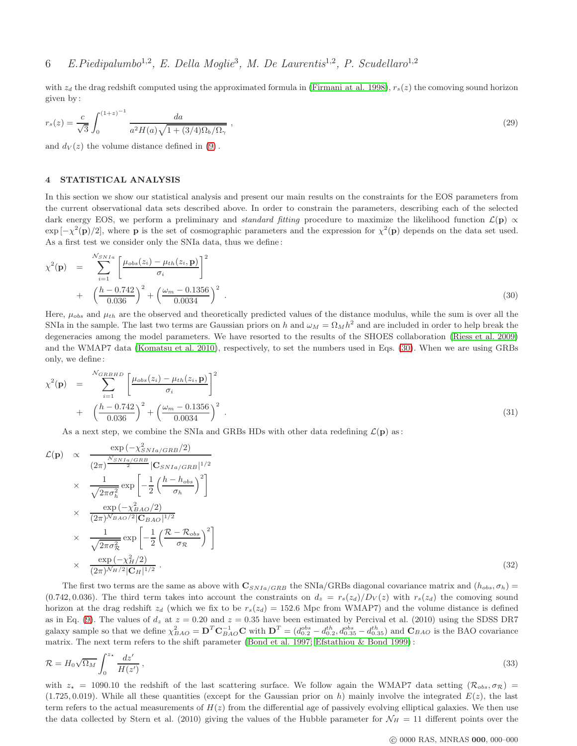with  $z_d$  the drag redshift computed using the approximated formula in [\(Firmani at al. 1998\)](#page-10-26),  $r_s(z)$  the comoving sound horizon given by :

$$
r_s(z) = \frac{c}{\sqrt{3}} \int_0^{(1+z)^{-1}} \frac{da}{a^2 H(a)\sqrt{1 + (3/4)\Omega_b/\Omega_\gamma}} ,\qquad(29)
$$

and  $d_V(z)$  the volume distance defined in [\(9\)](#page-2-0).

## 4 STATISTICAL ANALYSIS

In this section we show our statistical analysis and present our main results on the constraints for the EOS parameters from the current observational data sets described above. In order to constrain the parameters, describing each of the selected dark energy EOS, we perform a preliminary and standard fitting procedure to maximize the likelihood function  $\mathcal{L}(\mathbf{p}) \propto$  $\exp[-\chi^2(\mathbf{p})/2]$ , where **p** is the set of cosmographic parameters and the expression for  $\chi^2(\mathbf{p})$  depends on the data set used. As a first test we consider only the SNIa data, thus we define :

<span id="page-5-0"></span>
$$
\chi^{2}(\mathbf{p}) = \sum_{i=1}^{N_{SNIa}} \left[ \frac{\mu_{obs}(z_i) - \mu_{th}(z_i, \mathbf{p})}{\sigma_i} \right]^{2} + \left( \frac{h - 0.742}{0.036} \right)^{2} + \left( \frac{\omega_m - 0.1356}{0.0034} \right)^{2} . \tag{30}
$$

Here,  $\mu_{obs}$  and  $\mu_{th}$  are the observed and theoretically predicted values of the distance modulus, while the sum is over all the SNIa in the sample. The last two terms are Gaussian priors on h and  $\omega_M = \Omega_M h^2$  and are included in order to help break the degeneracies among the model parameters. We have resorted to the results of the SHOES collaboration [\(Riess et al. 2009\)](#page-10-27) and the WMAP7 data [\(Komatsu et al. 2010\)](#page-11-7), respectively, to set the numbers used in Eqs. [\(30\)](#page-5-0). When we are using GRBs only, we define :

<span id="page-5-1"></span>
$$
\chi^{2}(\mathbf{p}) = \sum_{i=1}^{N_{GRBHD}} \left[ \frac{\mu_{obs}(z_i) - \mu_{th}(z_i, \mathbf{p})}{\sigma_i} \right]^{2} + \left( \frac{h - 0.742}{0.036} \right)^{2} + \left( \frac{\omega_m - 0.1356}{0.0034} \right)^{2} . \tag{31}
$$

As a next step, we combine the SNIa and GRBs HDs with other data redefining  $\mathcal{L}(\mathbf{p})$  as:

<span id="page-5-2"></span>
$$
\mathcal{L}(\mathbf{p}) \propto \frac{\exp\left(-\chi_{SNIa/GRB}^{2}/2\right)}{\left(2\pi\right)^{\frac{N_{SNIa/GRB}}{2}}|\mathbf{C}_{SNIa/GRB}|^{1/2}}\n\times\n\frac{1}{\sqrt{2\pi\sigma_{h}^{2}}}\exp\left[-\frac{1}{2}\left(\frac{h-h_{obs}}{\sigma_{h}}\right)^{2}\right]\n\times\n\frac{\exp\left(-\chi_{BAO}^{2}/2\right)}{\left(2\pi\right)^{N_{BAO}/2}|\mathbf{C}_{BAO}|^{1/2}}\n\times\n\frac{1}{\sqrt{2\pi\sigma_{R}^{2}}}\exp\left[-\frac{1}{2}\left(\frac{\mathcal{R}-\mathcal{R}_{obs}}{\sigma_{R}}\right)^{2}\right]\n\times\n\frac{\exp\left(-\chi_{H}^{2}/2\right)}{\left(2\pi\right)^{N_{H}/2}|\mathbf{C}_{H}|^{1/2}}.
$$
\n(32)

The first two terms are the same as above with  $\mathbf{C}_{SNIa/GRB}$  the SNIa/GRBs diagonal covariance matrix and  $(h_{obs}, \sigma_h)$ (0.742, 0.036). The third term takes into account the constraints on  $d_z = r_s(z_d)/D_V(z)$  with  $r_s(z_d)$  the comoving sound horizon at the drag redshift  $z_d$  (which we fix to be  $r_s(z_d) = 152.6$  Mpc from WMAP7) and the volume distance is defined as in Eq. [\(9\)](#page-2-0). The values of  $d_z$  at  $z = 0.20$  and  $z = 0.35$  have been estimated by Percival et al. (2010) using the SDSS DR7 galaxy sample so that we define  $\chi^2_{BAO} = \mathbf{D}^T \mathbf{C}_{BAO}^{-1} \mathbf{C}$  with  $\mathbf{D}^T = (d_{0.2}^{obs} - d_{0.2}^{th}, d_{0.35}^{obs} - d_{0.35}^{th})$  and  $\mathbf{C}_{BAO}$  is the BAO covariance matrix. The next term refers to the shift parameter [\(Bond et al. 1997;](#page-10-28) [Efstathiou & Bond 1999\)](#page-10-29) :

$$
\mathcal{R} = H_0 \sqrt{\Omega_M} \int_0^{z_{\star}} \frac{dz'}{H(z')},\tag{33}
$$

with  $z_{\star} = 1090.10$  the redshift of the last scattering surface. We follow again the WMAP7 data setting  $(\mathcal{R}_{obs}, \sigma_{\mathcal{R}})$ (1.725, 0.019). While all these quantities (except for the Gaussian prior on h) mainly involve the integrated  $E(z)$ , the last term refers to the actual measurements of  $H(z)$  from the differential age of passively evolving elliptical galaxies. We then use the data collected by Stern et al. (2010) giving the values of the Hubble parameter for  $\mathcal{N}_H = 11$  different points over the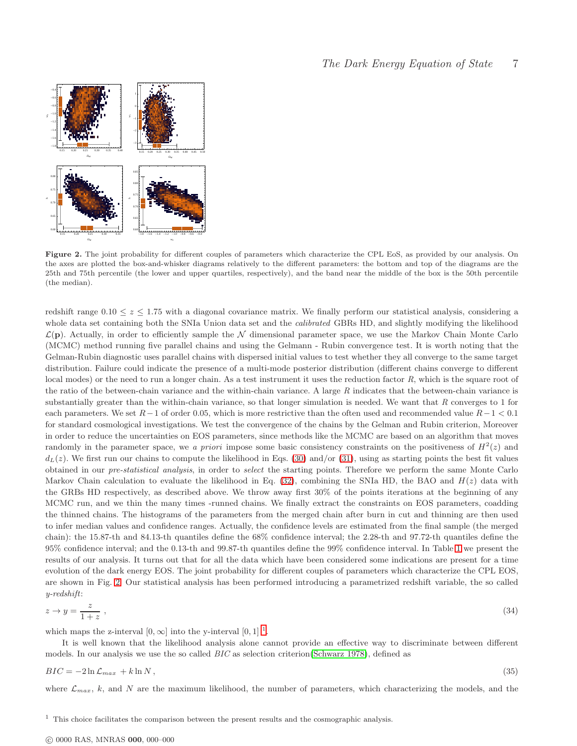

<span id="page-6-0"></span>Figure 2. The joint probability for different couples of parameters which characterize the CPL EoS, as provided by our analysis. On the axes are plotted the box-and-whisker diagrams relatively to the different parameters: the bottom and top of the diagrams are the 25th and 75th percentile (the lower and upper quartiles, respectively), and the band near the middle of the box is the 50th percentile (the median).

redshift range  $0.10 \le z \le 1.75$  with a diagonal covariance matrix. We finally perform our statistical analysis, considering a whole data set containing both the SNIa Union data set and the *calibrated* GBRs HD, and slightly modifying the likelihood  $\mathcal{L}(\mathbf{p})$ . Actually, in order to efficiently sample the  $\mathcal N$  dimensional parameter space, we use the Markov Chain Monte Carlo (MCMC) method running five parallel chains and using the Gelmann - Rubin convergence test. It is worth noting that the Gelman-Rubin diagnostic uses parallel chains with dispersed initial values to test whether they all converge to the same target distribution. Failure could indicate the presence of a multi-mode posterior distribution (different chains converge to different local modes) or the need to run a longer chain. As a test instrument it uses the reduction factor R, which is the square root of the ratio of the between-chain variance and the within-chain variance. A large  $R$  indicates that the between-chain variance is substantially greater than the within-chain variance, so that longer simulation is needed. We want that  $R$  converges to 1 for each parameters. We set  $R-1$  of order 0.05, which is more restrictive than the often used and recommended value  $R-1 < 0.1$ for standard cosmological investigations. We test the convergence of the chains by the Gelman and Rubin criterion, Moreover in order to reduce the uncertainties on EOS parameters, since methods like the MCMC are based on an algorithm that moves randomly in the parameter space, we a priori impose some basic consistency constraints on the positiveness of  $H^2(z)$  and  $d_L(z)$ . We first run our chains to compute the likelihood in Eqs. [\(30\)](#page-5-0) and/or [\(31\)](#page-5-1), using as starting points the best fit values obtained in our pre-statistical analysis, in order to select the starting points. Therefore we perform the same Monte Carlo Markov Chain calculation to evaluate the likelihood in Eq.  $(32)$ , combining the SNIa HD, the BAO and  $H(z)$  data with the GRBs HD respectively, as described above. We throw away first 30% of the points iterations at the beginning of any MCMC run, and we thin the many times -runned chains. We finally extract the constraints on EOS parameters, coadding the thinned chains. The histograms of the parameters from the merged chain after burn in cut and thinning are then used to infer median values and confidence ranges. Actually, the confidence levels are estimated from the final sample (the merged chain): the 15.87-th and 84.13-th quantiles define the 68% confidence interval; the 2.28-th and 97.72-th quantiles define the 95% confidence interval; and the 0.13-th and 99.87-th quantiles define the 99% confidence interval. In Table [1](#page-7-0) we present the results of our analysis. It turns out that for all the data which have been considered some indications are present for a time evolution of the dark energy EOS. The joint probability for different couples of parameters which characterize the CPL EOS, are shown in Fig. [2.](#page-6-0) Our statistical analysis has been performed introducing a parametrized redshift variable, the so called y-redshift:

$$
z \to y = \frac{z}{1+z} \tag{34}
$$

which maps the z-interval  $[0, \infty]$  into the y-interval  $[0, 1]$  $[0, 1]$  $[0, 1]$ <sup>1</sup>.

It is well known that the likelihood analysis alone cannot provide an effective way to discriminate between different models. In our analysis we use the so called BIC as selection criterion [\(Schwarz 1978\)](#page-10-30), defined as

$$
BIC = -2\ln \mathcal{L}_{max} + k \ln N, \qquad (35)
$$

where  $\mathcal{L}_{max}$ , k, and N are the maximum likelihood, the number of parameters, which characterizing the models, and the

<span id="page-6-1"></span> $<sup>1</sup>$  This choice facilitates the comparison between the present results and the cosmographic analysis.</sup>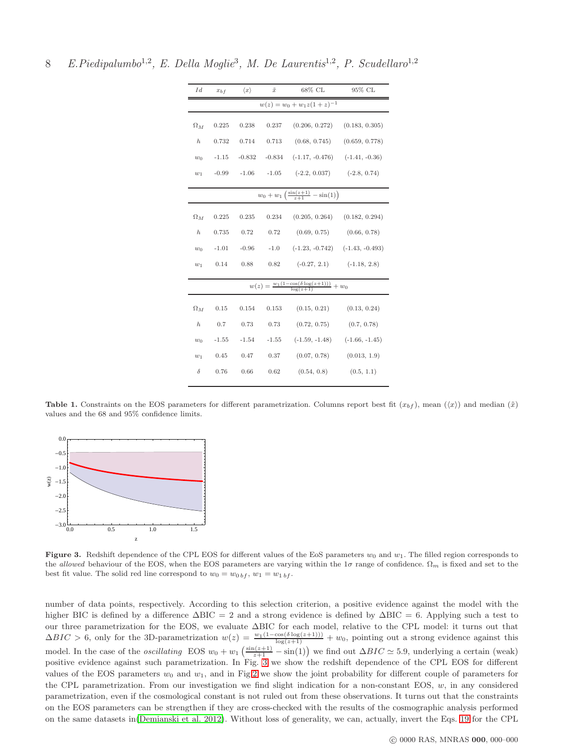8 E.Piedipalumbo<sup>1,2</sup>, E. Della Moglie<sup>3</sup>, M. De Laurentis<sup>1,2</sup>, P. Scudellaro<sup>1,2</sup>

| Id                                                                        | $x_{bf}$ | $\langle x \rangle$ | $\tilde{x}$ | 68% CL                              | 95% CL           |
|---------------------------------------------------------------------------|----------|---------------------|-------------|-------------------------------------|------------------|
| $w(z) = w_0 + w_1 z (1 + z)^{-1}$                                         |          |                     |             |                                     |                  |
| $\Omega_M$                                                                | 0.225    | 0.238               | 0.237       | (0.206, 0.272)                      | (0.183, 0.305)   |
| $\hbar$                                                                   | 0.732    | 0.714               | 0.713       | (0.68, 0.745)                       | (0.659, 0.778)   |
| $w_0$                                                                     | $-1.15$  | $-0.832$            |             | $-0.834$ $(-1.17, -0.476)$          | $(-1.41, -0.36)$ |
| $w_1$                                                                     | $-0.99$  | $-1.06$             |             | $-1.05$ $(-2.2, 0.037)$             | $(-2.8, 0.74)$   |
| $w_0 + w_1 \left( \frac{\sin(z+1)}{z+1} - \sin(1) \right)$                |          |                     |             |                                     |                  |
| $\Omega_M$                                                                | 0.225    | 0.235               | 0.234       | (0.205, 0.264)                      | (0.182, 0.294)   |
| $\hbar$                                                                   | 0.735    | 0.72                | 0.72        | (0.69, 0.75)                        | (0.66, 0.78)     |
| $w_0$                                                                     | $-1.01$  | $-0.96$             | $-1.0$      | $(-1.23, -0.742)$ $(-1.43, -0.493)$ |                  |
| $w_1$                                                                     | 0.14     | 0.88                | 0.82        | $(-0.27, 2.1)$ $(-1.18, 2.8)$       |                  |
| $w(z) = \frac{w_1(1-\cos(\delta \log(z+1)))}{\log(z+1)} + \overline{w_0}$ |          |                     |             |                                     |                  |
| $\Omega_M$                                                                | 0.15     | 0.154               | 0.153       | (0.15, 0.21)                        | (0.13, 0.24)     |
| $\hbar$                                                                   | 0.7      | 0.73                | 0.73        | (0.72, 0.75)                        | (0.7, 0.78)      |
| $w_0$                                                                     | $-1.55$  | $-1.54$             | $-1.55$     | $(-1.59, -1.48)$                    | $(-1.66, -1.45)$ |
| $w_1$                                                                     | 0.45     | 0.47                | 0.37        | (0.07, 0.78)                        | (0.013, 1.9)     |
| $\delta$                                                                  | 0.76     | 0.66                | 0.62        | (0.54, 0.8)                         | (0.5, 1.1)       |

<span id="page-7-0"></span>Table 1. Constraints on the EOS parameters for different parametrization. Columns report best fit  $(x_{bf})$ , mean  $(\langle x \rangle)$  and median  $(\tilde{x})$ values and the 68 and 95% confidence limits.



<span id="page-7-1"></span>Figure 3. Redshift dependence of the CPL EOS for different values of the EoS parameters  $w_0$  and  $w_1$ . The filled region corresponds to the allowed behaviour of the EOS, when the EOS parameters are varying within the 1 $\sigma$  range of confidence.  $\Omega_m$  is fixed and set to the best fit value. The solid red line correspond to  $w_0 = w_{0 \, bf}$ ,  $w_1 = w_{1 \, bf}$ .

number of data points, respectively. According to this selection criterion, a positive evidence against the model with the higher BIC is defined by a difference ∆BIC = 2 and a strong evidence is defined by ∆BIC = 6. Applying such a test to our three parametrization for the EOS, we evaluate ∆BIC for each model, relative to the CPL model: it turns out that  $\Delta BIC > 6$ , only for the 3D-parametrization  $w(z) = \frac{w_1(1-\cos(\delta \log(z+1)))}{\log(z+1)} + w_0$ , pointing out a strong evidence against this model. In the case of the *oscillating* EOS  $w_0 + w_1 \left( \frac{\sin(z+1)}{z+1} - \sin(1) \right)$  we find out  $\Delta BIC \simeq 5.9$ , underlying a certain (weak) positive evidence against such parametrization. In Fig. [3](#page-7-1) we show the redshift dependence of the CPL EOS for different values of the EOS parameters  $w_0$  and  $w_1$ , and in Fig[.2](#page-6-0) we show the joint probability for different couple of parameters for the CPL parametrization. From our investigation we find slight indication for a non-constant EOS,  $w$ , in any considered parametrization, even if the cosmological constant is not ruled out from these observations. It turns out that the constraints on the EOS parameters can be strengthen if they are cross-checked with the results of the cosmographic analysis performed on the same datasets in[\(Demianski et al. 2012\)](#page-10-31). Without loss of generality, we can, actually, invert the Eqs. [19](#page-3-0) for the CPL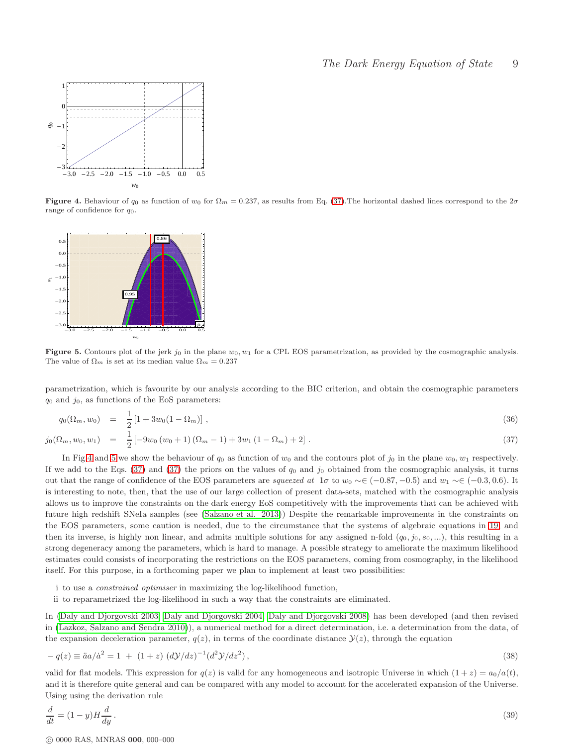

<span id="page-8-1"></span>Figure 4. Behaviour of  $q_0$  as function of  $w_0$  for  $\Omega_m = 0.237$ , as results from Eq. [\(37\)](#page-8-0). The horizontal dashed lines correspond to the  $2\sigma$ range of confidence for  $q_0$ .



<span id="page-8-2"></span>Figure 5. Contours plot of the jerk  $j_0$  in the plane  $w_0, w_1$  for a CPL EOS parametrization, as provided by the cosmographic analysis. The value of  $\Omega_m$  is set at its median value  $\Omega_m = 0.237$ 

parametrization, which is favourite by our analysis according to the BIC criterion, and obtain the cosmographic parameters  $q_0$  and  $j_0$ , as functions of the EoS parameters:

<span id="page-8-0"></span>
$$
q_0(\Omega_m, w_0) = \frac{1}{2} [1 + 3w_0(1 - \Omega_m)], \qquad (36)
$$

$$
j_0(\Omega_m, w_0, w_1) = \frac{1}{2} \left[ -9w_0 \left( w_0 + 1 \right) \left( \Omega_m - 1 \right) + 3w_1 \left( 1 - \Omega_m \right) + 2 \right]. \tag{37}
$$

In Fig[.4](#page-8-1) and [5](#page-8-2) we show the behaviour of  $q_0$  as function of  $w_0$  and the contours plot of  $j_0$  in the plane  $w_0$ ,  $w_1$  respectively. If we add to the Eqs.  $(37)$  and  $(37)$  the priors on the values of  $q_0$  and  $j_0$  obtained from the cosmographic analysis, it turns out that the range of confidence of the EOS parameters are squeezed at  $1\sigma$  to  $w_0 \sim \in (-0.87, -0.5)$  and  $w_1 \sim \in (-0.3, 0.6)$ . It is interesting to note, then, that the use of our large collection of present data-sets, matched with the cosmographic analysis allows us to improve the constraints on the dark energy EoS competitively with the improvements that can be achieved with future high redshift SNeIa samples (see [\(Salzano et al. 2013\)](#page-11-8)) Despite the remarkable improvements in the constraints on the EOS parameters, some caution is needed, due to the circumstance that the systems of algebraic equations in [19,](#page-3-0) and then its inverse, is highly non linear, and admits multiple solutions for any assigned n-fold  $(q_0, j_0, s_0, ...)$ , this resulting in a strong degeneracy among the parameters, which is hard to manage. A possible strategy to ameliorate the maximum likelihood estimates could consists of incorporating the restrictions on the EOS parameters, coming from cosmography, in the likelihood itself. For this purpose, in a forthcoming paper we plan to implement at least two possibilities:

i to use a constrained optimiser in maximizing the log-likelihood function,

ii to reparametrized the log-likelihood in such a way that the constraints are eliminated.

In [\(Daly and Djorgovski 2003;](#page-10-32) [Daly and Djorgovski 2004;](#page-10-18) Daly [and Djorgovski 2008\)](#page-10-33) has been developed (and then revised in [\(Lazkoz, Salzano and Sendra 2010\)](#page-10-20)), a numerical method for a direct determination, i.e. a determination from the data, of the expansion deceleration parameter,  $q(z)$ , in terms of the coordinate distance  $\mathcal{Y}(z)$ , through the equation

$$
-q(z) \equiv \ddot{a}a/\dot{a}^2 = 1 + (1+z) (d\mathcal{Y}/dz)^{-1} (d^2\mathcal{Y}/dz^2),
$$
\n(38)

valid for flat models. This expression for  $q(z)$  is valid for any homogeneous and isotropic Universe in which  $(1+z) = a_0/a(t)$ , and it is therefore quite general and can be compared with any model to account for the accelerated expansion of the Universe. Using using the derivation rule

$$
\frac{d}{dt} = (1 - y)H\frac{d}{dy}.
$$
\n(39)

c 0000 RAS, MNRAS 000, 000–000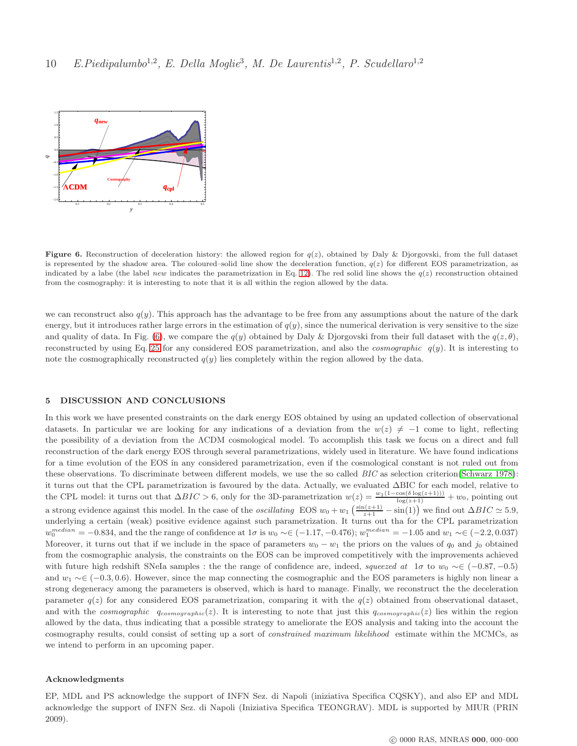

<span id="page-9-0"></span>Figure 6. Reconstruction of deceleration history: the allowed region for  $q(z)$ , obtained by Daly & Djorgovski, from the full dataset is represented by the shadow area. The coloured–solid line show the deceleration function,  $q(z)$  for different EOS parametrization, as indicated by a labe (the label new indicates the parametrization in Eq. [12\)](#page-3-1). The red solid line shows the  $q(z)$  reconstruction obtained from the cosmography: it is interesting to note that it is all within the region allowed by the data.

we can reconstruct also  $q(y)$ . This approach has the advantage to be free from any assumptions about the nature of the dark energy, but it introduces rather large errors in the estimation of  $q(y)$ , since the numerical derivation is very sensitive to the size and quality of data. In Fig. [\(6\)](#page-9-0), we compare the  $q(y)$  obtained by Daly & Djorgovski from their full dataset with the  $q(z, \theta)$ , reconstructed by using Eq. [25](#page-3-2) for any considered EOS parametrization, and also the *cosmographic*  $q(y)$ . It is interesting to note the cosmographically reconstructed  $q(y)$  lies completely within the region allowed by the data.

### 5 DISCUSSION AND CONCLUSIONS

In this work we have presented constraints on the dark energy EOS obtained by using an updated collection of observational datasets. In particular we are looking for any indications of a deviation from the  $w(z) \neq -1$  come to light, reflecting the possibility of a deviation from the ΛCDM cosmological model. To accomplish this task we focus on a direct and full reconstruction of the dark energy EOS through several parametrizations, widely used in literature. We have found indications for a time evolution of the EOS in any considered parametrization, even if the cosmological constant is not ruled out from these observations. To discriminate between different models, we use the so called BIC as selection criterion[\(Schwarz 1978\)](#page-10-30): it turns out that the CPL parametrization is favoured by the data. Actually, we evaluated ∆BIC for each model, relative to the CPL model: it turns out that  $\Delta BIC > 6$ , only for the 3D-parametrization  $w(z) = \frac{w_1(1-\cos(\delta \log(z+1)))}{\log(z+1)} + w_0$ , pointing out a strong evidence against this model. In the case of the *oscillating* EOS  $w_0 + w_1 \left( \frac{\sin(z+1)}{z+1} - \sin(1) \right)$  we find out  $\Delta BIC \simeq 5.9$ , underlying a certain (weak) positive evidence against such parametrization. It turns out tha for the CPL parametrization  $w_0^{median} = -0.834$ , and the the range of confidence at  $1\sigma$  is  $w_0 \sim \in (-1.17, -0.476)$ ;  $w_1^{median} = -1.05$  and  $w_1 \sim \in (-2.2, 0.037)$ Moreover, it turns out that if we include in the space of parameters  $w_0 - w_1$  the priors on the values of  $q_0$  and j<sub>0</sub> obtained from the cosmographic analysis, the constraints on the EOS can be improved competitively with the improvements achieved with future high redshift SNeIa samples : the the range of confidence are, indeed, squeezed at  $1\sigma$  to  $w_0 \sim \in (-0.87, -0.5)$ and  $w_1 \sim \in (-0.3, 0.6)$ . However, since the map connecting the cosmographic and the EOS parameters is highly non linear a strong degeneracy among the parameters is observed, which is hard to manage. Finally, we reconstruct the the deceleration parameter  $q(z)$  for any considered EOS parametrization, comparing it with the  $q(z)$  obtained from observational dataset, and with the cosmographic  $q_{cosmographic}(z)$ . It is interesting to note that just this  $q_{cosmographic}(z)$  lies within the region allowed by the data, thus indicating that a possible strategy to ameliorate the EOS analysis and taking into the account the cosmography results, could consist of setting up a sort of constrained maximum likelihood estimate within the MCMCs, as we intend to perform in an upcoming paper.

### Acknowledgments

EP, MDL and PS acknowledge the support of INFN Sez. di Napoli (iniziativa Specifica CQSKY), and also EP and MDL acknowledge the support of INFN Sez. di Napoli (Iniziativa Specifica TEONGRAV). MDL is supported by MIUR (PRIN 2009).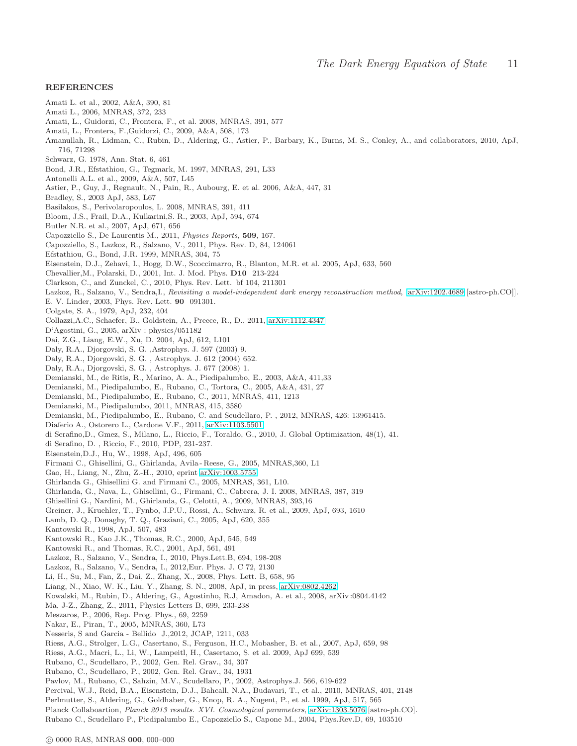### REFERENCES

- Amati L. et al., 2002, A&A, 390, 81
- Amati L., 2006, MNRAS, 372, 233
- <span id="page-10-13"></span>Amati, L., Guidorzi, C., Frontera, F., et al. 2008, MNRAS, 391, 577
- Amati, L., Frontera, F.,Guidorzi, C., 2009, A&A, 508, 173
- Amanullah, R., Lidman, C., Rubin, D., Aldering, G., Astier, P., Barbary, K., Burns, M. S., Conley, A., and collaborators, 2010, ApJ, 716, 71298
- <span id="page-10-30"></span>Schwarz, G. 1978, Ann. Stat. 6, 461
- <span id="page-10-28"></span>Bond, J.R., Efstathiou, G., Tegmark, M. 1997, MNRAS, 291, L33
- Antonelli A.L. et al., 2009, A&A, 507, L45
- <span id="page-10-1"></span>Astier, P., Guy, J., Regnault, N., Pain, R., Aubourg, E. et al. 2006, A&A, 447, 31
- <span id="page-10-8"></span>Bradley, S., 2003 ApJ, 583, L67
- Basilakos, S., Perivolaropoulos, L. 2008, MNRAS, 391, 411
- <span id="page-10-10"></span>Bloom, J.S., Frail, D.A., Kulkarini,S. R., 2003, ApJ, 594, 674
- Butler N.R. et al., 2007, ApJ, 671, 656
- <span id="page-10-16"></span>Capozziello S., De Laurentis M., 2011, Physics Reports, 509, 167.
- Capozziello, S., Lazkoz, R., Salzano, V., 2011, Phys. Rev. D, 84, 124061
- <span id="page-10-29"></span>Efstathiou, G., Bond, J.R. 1999, MNRAS, 304, 75
- <span id="page-10-24"></span>Eisenstein, D.J., Zehavi, I., Hogg, D.W., Scoccimarro, R., Blanton, M.R. et al. 2005, ApJ, 633, 560
- <span id="page-10-4"></span>Chevallier,M., Polarski, D., 2001, Int. J. Mod. Phys. D10 213-224
- <span id="page-10-19"></span>Clarkson, C., and Zunckel, C., 2010, Phys. Rev. Lett. bf 104, 211301
- <span id="page-10-20"></span>Lazkoz, R., Salzano, V., Sendra,I., Revisiting a model-independent dark energy reconstruction method, [\[arXiv:1202.4689](http://arxiv.org/abs/1202.4689) [astro-ph.CO]].
- <span id="page-10-5"></span>E. V. Linder, 2003, Phys. Rev. Lett. 90 091301.
- Colgate, S. A., 1979, ApJ, 232, 404
- Collazzi,A.C., Schaefer, B., Goldstein, A., Preece, R., D., 2011, [arXiv:1112.4347](http://arxiv.org/abs/1112.4347)
- D'Agostini, G., 2005, arXiv : physics/051182
- <span id="page-10-9"></span>Dai, Z.G., Liang, E.W., Xu, D. 2004, ApJ, 612, L101
- <span id="page-10-32"></span>Daly, R.A., Djorgovski, S. G. ,Astrophys. J. 597 (2003) 9.
- <span id="page-10-18"></span>Daly, R.A., Djorgovski, S. G. , Astrophys. J. 612 (2004) 652.
- <span id="page-10-33"></span>Daly, R.A., Djorgovski, S. G. , Astrophys. J. 677 (2008) 1.
- Demianski, M., de Ritis, R., Marino, A. A., Piedipalumbo, E., 2003, A&A, 411,33
- Demianski, M., Piedipalumbo, E., Rubano, C., Tortora, C., 2005, A&A, 431, 27
- <span id="page-10-14"></span>Demianski, M., Piedipalumbo, E., Rubano, C., 2011, MNRAS, 411, 1213
- <span id="page-10-15"></span>Demianski, M., Piedipalumbo, 2011, MNRAS, 415, 3580
- <span id="page-10-31"></span>Demianski, M., Piedipalumbo, E., Rubano, C. and Scudellaro, P. , 2012, MNRAS, 426: 13961415.
- Diaferio A., Ostorero L., Cardone V.F., 2011, [arXiv:1103.5501](http://arxiv.org/abs/1103.5501)
- <span id="page-10-22"></span>di Serafino,D., Gmez, S., Milano, L., Riccio, F., Toraldo, G., 2010, J. Global Optimization, 48(1), 41.
- <span id="page-10-23"></span>di Serafino, D. , Riccio, F., 2010, PDP, 231-237.
- <span id="page-10-26"></span>Eisenstein,D.J., Hu, W., 1998, ApJ, 496, 605
- <span id="page-10-11"></span>Firmani C., Ghisellini, G., Ghirlanda, Avila - Reese, G., 2005, MNRAS,360, L1
- Gao, H., Liang, N., Zhu, Z.-H., 2010, eprint [arXiv:1003.5755](http://arxiv.org/abs/1003.5755)
- Ghirlanda G., Ghisellini G. and Firmani C., 2005, MNRAS, 361, L10.
- Ghirlanda, G., Nava, L., Ghisellini, G., Firmani, C., Cabrera, J. I. 2008, MNRAS, 387, 319
- Ghisellini G., Nardini, M., Ghirlanda, G., Celotti, A., 2009, MNRAS, 393,16
- Greiner, J., Kruehler, T., Fynbo, J.P.U., Rossi, A., Schwarz, R. et al., 2009, ApJ, 693, 1610
- Lamb, D. Q., Donaghy, T. Q., Graziani, C., 2005, ApJ, 620, 355
- Kantowski R., 1998, ApJ, 507, 483
- Kantowski R., Kao J.K., Thomas, R.C., 2000, ApJ, 545, 549
- Kantowski R., and Thomas, R.C., 2001, ApJ, 561, 491
- <span id="page-10-7"></span>Lazkoz, R., Salzano, V., Sendra, I., 2010, Phys.Lett.B, 694, 198-208
- Lazkoz, R., Salzano, V., Sendra, I., 2012,Eur. Phys. J. C 72, 2130
- <span id="page-10-12"></span>Li, H., Su, M., Fan, Z., Dai, Z., Zhang, X., 2008, Phys. Lett. B, 658, 95
- Liang, N., Xiao, W. K., Liu, Y., Zhang, S. N., 2008, ApJ, in press, [arXiv:0802.4262](http://arxiv.org/abs/0802.4262)
- <span id="page-10-2"></span>Kowalski, M., Rubin, D., Aldering, G., Agostinho, R.J, Amadon, A. et al., 2008, arXiv :0804.4142
- <span id="page-10-6"></span>Ma, J-Z., Zhang, Z., 2011, Physics Letters B, 699, 233-238
- Meszaros, P., 2006, Rep. Prog. Phys., 69, 2259
- Nakar, E., Piran, T., 2005, MNRAS, 360, L73
- <span id="page-10-21"></span>Nesseris, S and Garcia - Bellido J.,2012, JCAP, 1211, 033
- <span id="page-10-0"></span>Riess, A.G., Strolger, L.G., Casertano, S., Ferguson, H.C., Mobasher, B. et al., 2007, ApJ, 659, 98
- <span id="page-10-27"></span>Riess, A.G., Macri, L., Li, W., Lampeitl, H., Casertano, S. et al. 2009, ApJ 699, 539
- Rubano, C., Scudellaro, P., 2002, Gen. Rel. Grav., 34, 307
- <span id="page-10-17"></span>Rubano, C., Scudellaro, P., 2002, Gen. Rel. Grav., 34, 1931
- Pavlov, M., Rubano, C., Sahzin, M.V., Scudellaro, P., 2002, Astrophys.J. 566, 619-622
- <span id="page-10-25"></span>Percival, W.J., Reid, B.A., Eisenstein, D.J., Bahcall, N.A., Budavari, T., et al., 2010, MNRAS, 401, 2148
- Perlmutter, S., Aldering, G., Goldhaber, G., Knop, R. A., Nugent, P., et al. 1999, ApJ, 517, 565
- <span id="page-10-3"></span>Planck Collaboartion, Planck 2013 results. XVI. Cosmological parameters, [arXiv:1303.5076](http://arxiv.org/abs/1303.5076) [astro-ph.CO]. Rubano C., Scudellaro P., Piedipalumbo E., Capozziello S., Capone M., 2004, Phys.Rev.D, 69, 103510